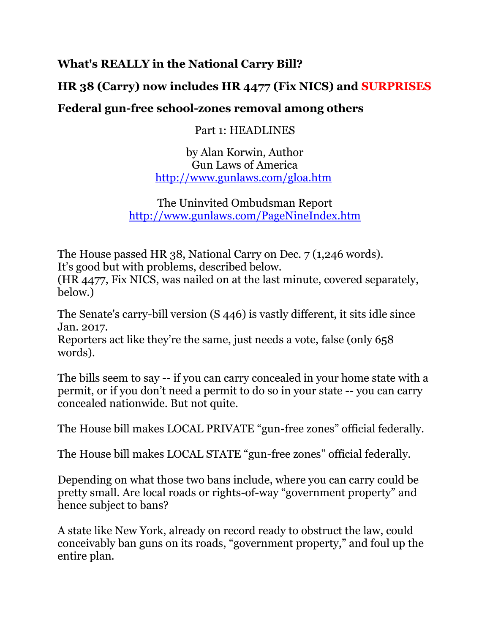#### **What's REALLY in the National Carry Bill?**

## **HR 38 (Carry) now includes HR 4477 (Fix NICS) and SURPRISES**

#### **Federal gun-free school-zones removal among others**

Part 1: HEADLINES

by Alan Korwin, Author Gun Laws of America [http://www.gunlaws.com/gloa.htm](https://linkprotect.cudasvc.com/url?a=http://www.gunlaws.com/gloa.htm&c=E,1,ugsH2YuT9_WB881mJn3QJmFHvxbSFcay9rOY8e3PXssW9OpOiKJxhPJU-hykujufufOG74rl9eT738GPAsXHCueHyCXiDyoBcp2SVAi-P8mNJA,,&typo=1)

The Uninvited Ombudsman Report [http://www.gunlaws.com/PageNineIndex.htm](https://linkprotect.cudasvc.com/url?a=http://www.gunlaws.com/PageNineIndex.htm&c=E,1,6LfNf3lRdUCRRmyrirHWIuwggJtKmwMofjwjNTx1PEfhR4zM-g35ejEUnW_QiGPJJPxdjm-ih9Au9odCzNLW9fvcKCjR9k2yCL94iPOk&typo=1)

The House passed HR 38, National Carry on Dec. 7 (1,246 words). It's good but with problems, described below.

(HR 4477, Fix NICS, was nailed on at the last minute, covered separately, below.)

The Senate's carry-bill version (S 446) is vastly different, it sits idle since Jan. 2017.

Reporters act like they're the same, just needs a vote, false (only 658 words).

The bills seem to say -- if you can carry concealed in your home state with a permit, or if you don't need a permit to do so in your state -- you can carry concealed nationwide. But not quite.

The House bill makes LOCAL PRIVATE "gun-free zones" official federally.

The House bill makes LOCAL STATE "gun-free zones" official federally.

Depending on what those two bans include, where you can carry could be pretty small. Are local roads or rights-of-way "government property" and hence subject to bans?

A state like New York, already on record ready to obstruct the law, could conceivably ban guns on its roads, "government property," and foul up the entire plan.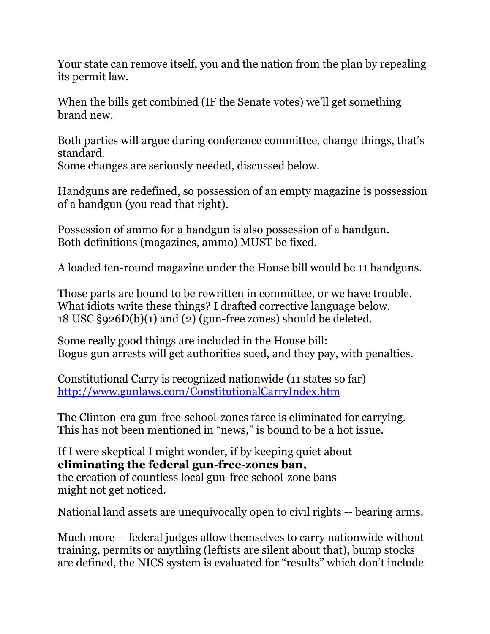Your state can remove itself, you and the nation from the plan by repealing its permit law.

When the bills get combined (IF the Senate votes) we'll get something brand new.

Both parties will argue during conference committee, change things, that's standard.

Some changes are seriously needed, discussed below.

Handguns are redefined, so possession of an empty magazine is possession of a handgun (you read that right).

Possession of ammo for a handgun is also possession of a handgun. Both definitions (magazines, ammo) MUST be fixed.

A loaded ten-round magazine under the House bill would be 11 handguns.

Those parts are bound to be rewritten in committee, or we have trouble. What idiots write these things? I drafted corrective language below. 18 USC §926D(b)(1) and (2) (gun-free zones) should be deleted.

Some really good things are included in the House bill: Bogus gun arrests will get authorities sued, and they pay, with penalties.

Constitutional Carry is recognized nationwide (11 states so far) [http://www.gunlaws.com/ConstitutionalCarryIndex.htm](https://linkprotect.cudasvc.com/url?a=http://www.gunlaws.com/ConstitutionalCarryIndex.htm&c=E,1,hm8qsRHzbKBrI3efiifUvz9zBz0huQEPeos50nP2nXJceVZ2UPfAt0jlYl0vhZPrag4YlBuVq5DAI0WATKHjJ3BghKzA-EZesy6dG0RdE-HX&typo=1)

The Clinton-era gun-free-school-zones farce is eliminated for carrying. This has not been mentioned in "news," is bound to be a hot issue.

If I were skeptical I might wonder, if by keeping quiet about **eliminating the federal gun-free-zones ban,** the creation of countless local gun-free school-zone bans might not get noticed.

National land assets are unequivocally open to civil rights -- bearing arms.

Much more -- federal judges allow themselves to carry nationwide without training, permits or anything (leftists are silent about that), bump stocks are defined, the NICS system is evaluated for "results" which don't include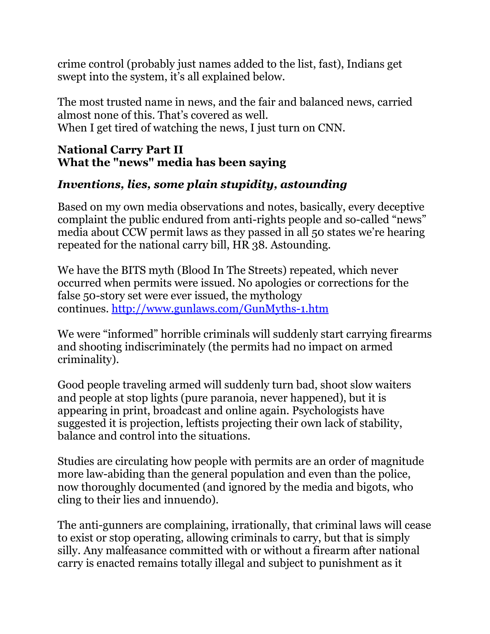crime control (probably just names added to the list, fast), Indians get swept into the system, it's all explained below.

The most trusted name in news, and the fair and balanced news, carried almost none of this. That's covered as well. When I get tired of watching the news, I just turn on CNN.

#### **National Carry Part II What the "news" media has been saying**

## *Inventions, lies, some plain stupidity, astounding*

Based on my own media observations and notes, basically, every deceptive complaint the public endured from anti-rights people and so-called "news" media about CCW permit laws as they passed in all 50 states we're hearing repeated for the national carry bill, HR 38. Astounding.

We have the BITS myth (Blood In The Streets) repeated, which never occurred when permits were issued. No apologies or corrections for the false 50-story set were ever issued, the mythology continues. [http://www.gunlaws.com/GunMyths-1.htm](https://linkprotect.cudasvc.com/url?a=http://www.gunlaws.com/GunMyths-1.htm&c=E,1,Ipr59a_5-beBzjnOmIT9ZMMcx80A1vOYB-8mqorGkBmnxXzujLoFhT_UeilYWrf2Iu5Zy3eI2srCYVzQBZnp_poaE7DMygLaVpIZ4pkp7g0C&typo=1)

We were "informed" horrible criminals will suddenly start carrying firearms and shooting indiscriminately (the permits had no impact on armed criminality).

Good people traveling armed will suddenly turn bad, shoot slow waiters and people at stop lights (pure paranoia, never happened), but it is appearing in print, broadcast and online again. Psychologists have suggested it is projection, leftists projecting their own lack of stability, balance and control into the situations.

Studies are circulating how people with permits are an order of magnitude more law-abiding than the general population and even than the police, now thoroughly documented (and ignored by the media and bigots, who cling to their lies and innuendo).

The anti-gunners are complaining, irrationally, that criminal laws will cease to exist or stop operating, allowing criminals to carry, but that is simply silly. Any malfeasance committed with or without a firearm after national carry is enacted remains totally illegal and subject to punishment as it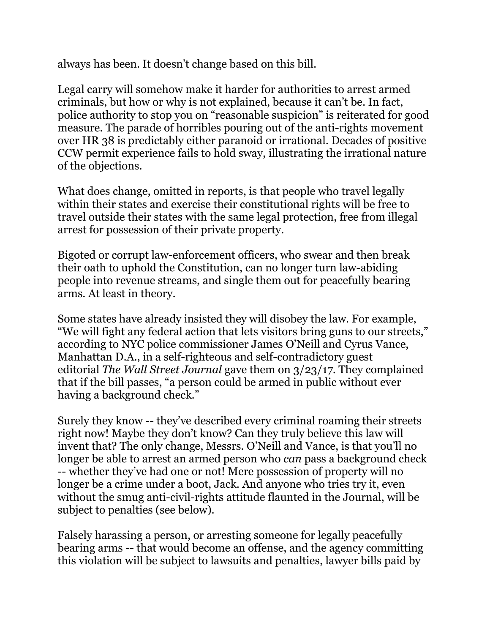always has been. It doesn't change based on this bill.

Legal carry will somehow make it harder for authorities to arrest armed criminals, but how or why is not explained, because it can't be. In fact, police authority to stop you on "reasonable suspicion" is reiterated for good measure. The parade of horribles pouring out of the anti-rights movement over HR 38 is predictably either paranoid or irrational. Decades of positive CCW permit experience fails to hold sway, illustrating the irrational nature of the objections.

What does change, omitted in reports, is that people who travel legally within their states and exercise their constitutional rights will be free to travel outside their states with the same legal protection, free from illegal arrest for possession of their private property.

Bigoted or corrupt law-enforcement officers, who swear and then break their oath to uphold the Constitution, can no longer turn law-abiding people into revenue streams, and single them out for peacefully bearing arms. At least in theory.

Some states have already insisted they will disobey the law. For example, "We will fight any federal action that lets visitors bring guns to our streets," according to NYC police commissioner James O'Neill and Cyrus Vance, Manhattan D.A., in a self-righteous and self-contradictory guest editorial *The Wall Street Journal* gave them on 3/23/17. They complained that if the bill passes, "a person could be armed in public without ever having a background check."

Surely they know -- they've described every criminal roaming their streets right now! Maybe they don't know? Can they truly believe this law will invent that? The only change, Messrs. O'Neill and Vance, is that you'll no longer be able to arrest an armed person who *can* pass a background check -- whether they've had one or not! Mere possession of property will no longer be a crime under a boot, Jack. And anyone who tries try it, even without the smug anti-civil-rights attitude flaunted in the Journal, will be subject to penalties (see below).

Falsely harassing a person, or arresting someone for legally peacefully bearing arms -- that would become an offense, and the agency committing this violation will be subject to lawsuits and penalties, lawyer bills paid by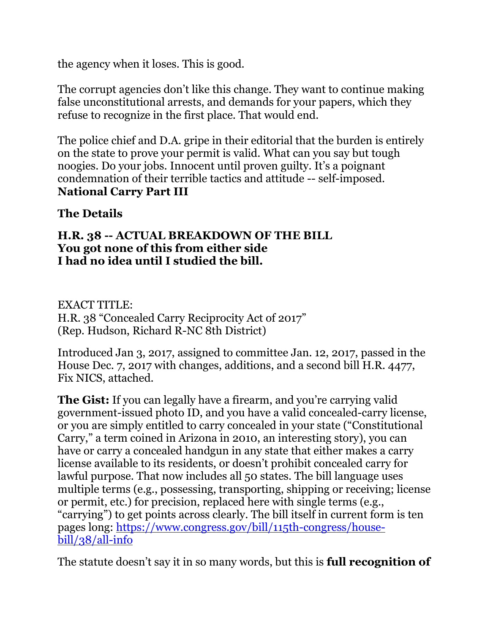the agency when it loses. This is good.

The corrupt agencies don't like this change. They want to continue making false unconstitutional arrests, and demands for your papers, which they refuse to recognize in the first place. That would end.

The police chief and D.A. gripe in their editorial that the burden is entirely on the state to prove your permit is valid. What can you say but tough noogies. Do your jobs. Innocent until proven guilty. It's a poignant condemnation of their terrible tactics and attitude -- self-imposed. **National Carry Part III**

### **The Details**

#### **H.R. 38 -- ACTUAL BREAKDOWN OF THE BILL You got none of this from either side I had no idea until I studied the bill.**

EXACT TITLE: H.R. 38 "Concealed Carry Reciprocity Act of 2017" (Rep. Hudson, Richard R-NC 8th District)

Introduced Jan 3, 2017, assigned to committee Jan. 12, 2017, passed in the House Dec. 7, 2017 with changes, additions, and a second bill H.R. 4477, Fix NICS, attached.

**The Gist:** If you can legally have a firearm, and you're carrying valid government-issued photo ID, and you have a valid concealed-carry license, or you are simply entitled to carry concealed in your state ("Constitutional Carry," a term coined in Arizona in 2010, an interesting story), you can have or carry a concealed handgun in any state that either makes a carry license available to its residents, or doesn't prohibit concealed carry for lawful purpose. That now includes all 50 states. The bill language uses multiple terms (e.g., possessing, transporting, shipping or receiving; license or permit, etc.) for precision, replaced here with single terms (e.g., "carrying") to get points across clearly. The bill itself in current form is ten pages long: [https://www.congress.gov/bill/115th-congress/house](https://www.congress.gov/bill/115th-congress/house-bill/38/all-info)[bill/38/all-info](https://www.congress.gov/bill/115th-congress/house-bill/38/all-info)

The statute doesn't say it in so many words, but this is **full recognition of**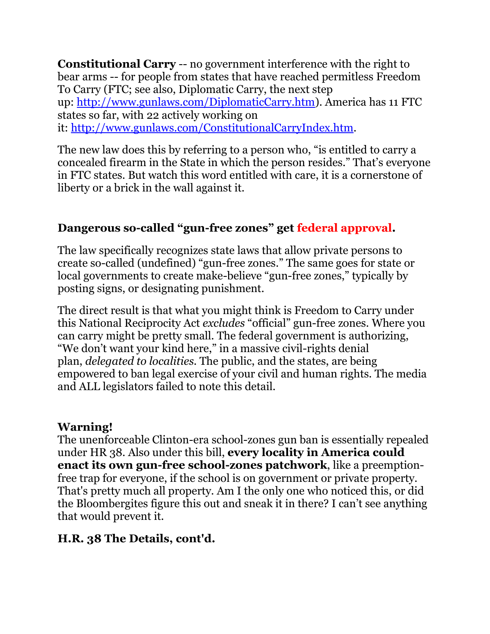**Constitutional Carry** -- no government interference with the right to bear arms -- for people from states that have reached permitless Freedom To Carry (FTC; see also, Diplomatic Carry, the next step up: [http://www.gunlaws.com/DiplomaticCarry.htm\)](https://linkprotect.cudasvc.com/url?a=http://www.gunlaws.com/DiplomaticCarry.htm&c=E,1,z4sr7MPSaY-CYTWANg2Kr8iBm_Wym3-LOAcGJFt-o7cwDTwBC_LiQzqoyAmoZvoaCc1QFXLxVUhZMzestUAHVsPu4Yb6QDchBHN10DXeKzKNsFk,&typo=1). America has 11 FTC states so far, with 22 actively working on it: [http://www.gunlaws.com/ConstitutionalCarryIndex.htm.](https://linkprotect.cudasvc.com/url?a=http://www.gunlaws.com/ConstitutionalCarryIndex.htm&c=E,1,saJa7eUpNKTe5crfp9CNM4OyflWY0CiuWL9fNgM9elIlq4pGK4owzEHMrs-7RNuzMl0SOP11MSsIZzPohOA2JMlUIQcvNOFD4IxegU6Rv9L26HF9HwI,&typo=1)

The new law does this by referring to a person who, "is entitled to carry a concealed firearm in the State in which the person resides." That's everyone in FTC states. But watch this word entitled with care, it is a cornerstone of liberty or a brick in the wall against it.

## **Dangerous so-called "gun-free zones" get federal approval.**

The law specifically recognizes state laws that allow private persons to create so-called (undefined) "gun-free zones." The same goes for state or local governments to create make-believe "gun-free zones," typically by posting signs, or designating punishment.

The direct result is that what you might think is Freedom to Carry under this National Reciprocity Act *excludes* "official" gun-free zones. Where you can carry might be pretty small. The federal government is authorizing, "We don't want your kind here," in a massive civil-rights denial plan, *delegated to localities*. The public, and the states, are being empowered to ban legal exercise of your civil and human rights. The media and ALL legislators failed to note this detail.

#### **Warning!**

The unenforceable Clinton-era school-zones gun ban is essentially repealed under HR 38. Also under this bill, **every locality in America could enact its own gun-free school-zones patchwork**, like a preemptionfree trap for everyone, if the school is on government or private property. That's pretty much all property. Am I the only one who noticed this, or did the Bloombergites figure this out and sneak it in there? I can't see anything that would prevent it.

## **H.R. 38 The Details, cont'd.**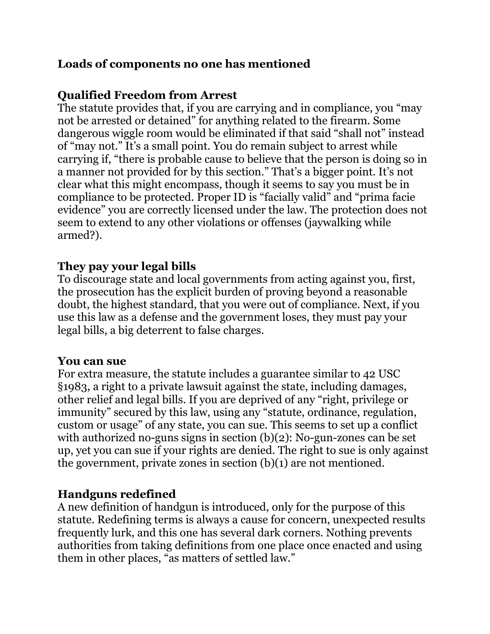### **Loads of components no one has mentioned**

### **Qualified Freedom from Arrest**

The statute provides that, if you are carrying and in compliance, you "may not be arrested or detained" for anything related to the firearm. Some dangerous wiggle room would be eliminated if that said "shall not" instead of "may not." It's a small point. You do remain subject to arrest while carrying if, "there is probable cause to believe that the person is doing so in a manner not provided for by this section." That's a bigger point. It's not clear what this might encompass, though it seems to say you must be in compliance to be protected. Proper ID is "facially valid" and "prima facie evidence" you are correctly licensed under the law. The protection does not seem to extend to any other violations or offenses (jaywalking while armed?).

#### **They pay your legal bills**

To discourage state and local governments from acting against you, first, the prosecution has the explicit burden of proving beyond a reasonable doubt, the highest standard, that you were out of compliance. Next, if you use this law as a defense and the government loses, they must pay your legal bills, a big deterrent to false charges.

#### **You can sue**

For extra measure, the statute includes a guarantee similar to 42 USC §1983, a right to a private lawsuit against the state, including damages, other relief and legal bills. If you are deprived of any "right, privilege or immunity" secured by this law, using any "statute, ordinance, regulation, custom or usage" of any state, you can sue. This seems to set up a conflict with authorized no-guns signs in section (b)(2): No-gun-zones can be set up, yet you can sue if your rights are denied. The right to sue is only against the government, private zones in section (b)(1) are not mentioned.

#### **Handguns redefined**

A new definition of handgun is introduced, only for the purpose of this statute. Redefining terms is always a cause for concern, unexpected results frequently lurk, and this one has several dark corners. Nothing prevents authorities from taking definitions from one place once enacted and using them in other places, "as matters of settled law."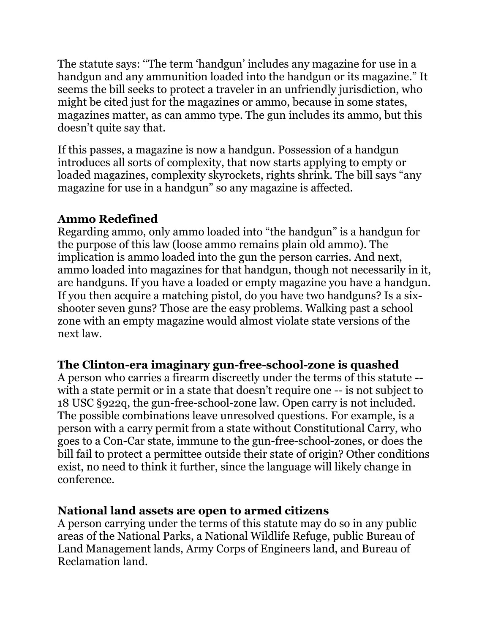The statute says: ''The term 'handgun' includes any magazine for use in a handgun and any ammunition loaded into the handgun or its magazine." It seems the bill seeks to protect a traveler in an unfriendly jurisdiction, who might be cited just for the magazines or ammo, because in some states, magazines matter, as can ammo type. The gun includes its ammo, but this doesn't quite say that.

If this passes, a magazine is now a handgun. Possession of a handgun introduces all sorts of complexity, that now starts applying to empty or loaded magazines, complexity skyrockets, rights shrink. The bill says "any magazine for use in a handgun" so any magazine is affected.

## **Ammo Redefined**

Regarding ammo, only ammo loaded into "the handgun" is a handgun for the purpose of this law (loose ammo remains plain old ammo). The implication is ammo loaded into the gun the person carries. And next, ammo loaded into magazines for that handgun, though not necessarily in it, are handguns. If you have a loaded or empty magazine you have a handgun. If you then acquire a matching pistol, do you have two handguns? Is a sixshooter seven guns? Those are the easy problems. Walking past a school zone with an empty magazine would almost violate state versions of the next law.

#### **The Clinton-era imaginary gun-free-school-zone is quashed**

A person who carries a firearm discreetly under the terms of this statute - with a state permit or in a state that doesn't require one -- is not subject to 18 USC §922q, the gun-free-school-zone law. Open carry is not included. The possible combinations leave unresolved questions. For example, is a person with a carry permit from a state without Constitutional Carry, who goes to a Con-Car state, immune to the gun-free-school-zones, or does the bill fail to protect a permittee outside their state of origin? Other conditions exist, no need to think it further, since the language will likely change in conference.

#### **National land assets are open to armed citizens**

A person carrying under the terms of this statute may do so in any public areas of the National Parks, a National Wildlife Refuge, public Bureau of Land Management lands, Army Corps of Engineers land, and Bureau of Reclamation land.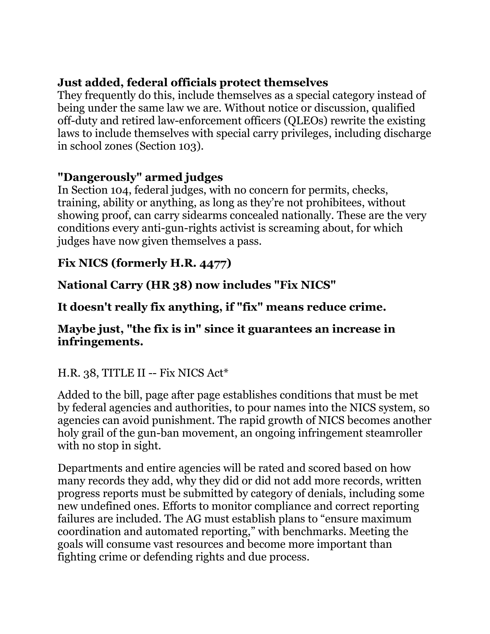## **Just added, federal officials protect themselves**

They frequently do this, include themselves as a special category instead of being under the same law we are. Without notice or discussion, qualified off-duty and retired law-enforcement officers (QLEOs) rewrite the existing laws to include themselves with special carry privileges, including discharge in school zones (Section 103).

#### **"Dangerously" armed judges**

In Section 104, federal judges, with no concern for permits, checks, training, ability or anything, as long as they're not prohibitees, without showing proof, can carry sidearms concealed nationally. These are the very conditions every anti-gun-rights activist is screaming about, for which judges have now given themselves a pass.

### **Fix NICS (formerly H.R. 4477)**

**National Carry (HR 38) now includes "Fix NICS"**

**It doesn't really fix anything, if "fix" means reduce crime.**

#### **Maybe just, "the fix is in" since it guarantees an increase in infringements.**

## H.R. 38, TITLE II -- Fix NICS Act\*

Added to the bill, page after page establishes conditions that must be met by federal agencies and authorities, to pour names into the NICS system, so agencies can avoid punishment. The rapid growth of NICS becomes another holy grail of the gun-ban movement, an ongoing infringement steamroller with no stop in sight.

Departments and entire agencies will be rated and scored based on how many records they add, why they did or did not add more records, written progress reports must be submitted by category of denials, including some new undefined ones. Efforts to monitor compliance and correct reporting failures are included. The AG must establish plans to "ensure maximum coordination and automated reporting," with benchmarks. Meeting the goals will consume vast resources and become more important than fighting crime or defending rights and due process.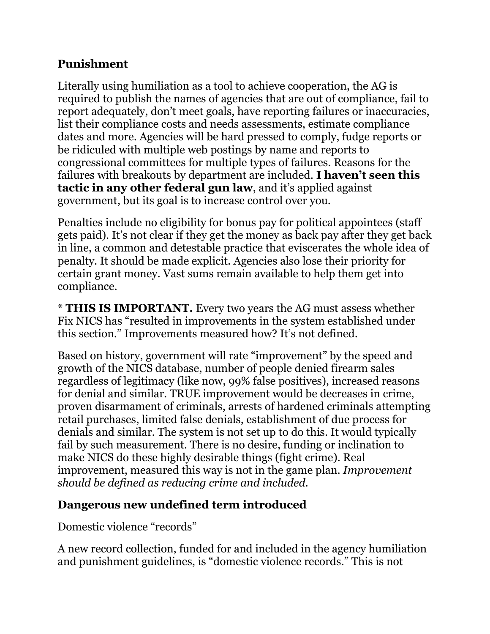#### **Punishment**

Literally using humiliation as a tool to achieve cooperation, the AG is required to publish the names of agencies that are out of compliance, fail to report adequately, don't meet goals, have reporting failures or inaccuracies, list their compliance costs and needs assessments, estimate compliance dates and more. Agencies will be hard pressed to comply, fudge reports or be ridiculed with multiple web postings by name and reports to congressional committees for multiple types of failures. Reasons for the failures with breakouts by department are included. **I haven't seen this tactic in any other federal gun law**, and it's applied against government, but its goal is to increase control over you.

Penalties include no eligibility for bonus pay for political appointees (staff gets paid). It's not clear if they get the money as back pay after they get back in line, a common and detestable practice that eviscerates the whole idea of penalty. It should be made explicit. Agencies also lose their priority for certain grant money. Vast sums remain available to help them get into compliance.

\* **THIS IS IMPORTANT.** Every two years the AG must assess whether Fix NICS has "resulted in improvements in the system established under this section." Improvements measured how? It's not defined.

Based on history, government will rate "improvement" by the speed and growth of the NICS database, number of people denied firearm sales regardless of legitimacy (like now, 99% false positives), increased reasons for denial and similar. TRUE improvement would be decreases in crime, proven disarmament of criminals, arrests of hardened criminals attempting retail purchases, limited false denials, establishment of due process for denials and similar. The system is not set up to do this. It would typically fail by such measurement. There is no desire, funding or inclination to make NICS do these highly desirable things (fight crime). Real improvement, measured this way is not in the game plan. *Improvement should be defined as reducing crime and included.*

## **Dangerous new undefined term introduced**

Domestic violence "records"

A new record collection, funded for and included in the agency humiliation and punishment guidelines, is "domestic violence records." This is not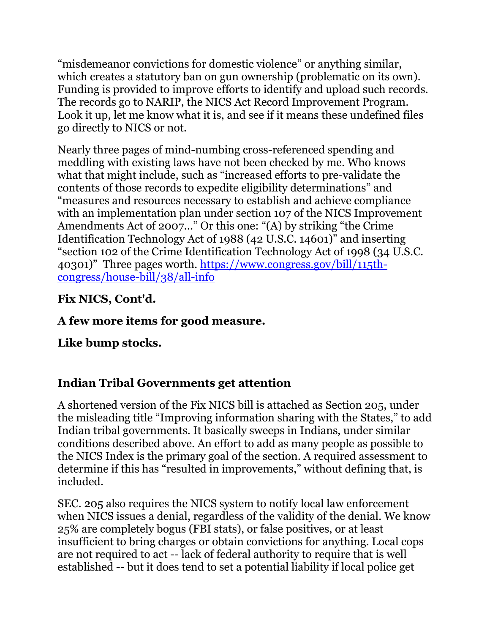"misdemeanor convictions for domestic violence" or anything similar, which creates a statutory ban on gun ownership (problematic on its own). Funding is provided to improve efforts to identify and upload such records. The records go to NARIP, the NICS Act Record Improvement Program. Look it up, let me know what it is, and see if it means these undefined files go directly to NICS or not.

Nearly three pages of mind-numbing cross-referenced spending and meddling with existing laws have not been checked by me. Who knows what that might include, such as "increased efforts to pre-validate the contents of those records to expedite eligibility determinations" and "measures and resources necessary to establish and achieve compliance with an implementation plan under section 107 of the NICS Improvement Amendments Act of 2007..." Or this one: "(A) by striking "the Crime Identification Technology Act of 1988 (42 U.S.C. 14601)" and inserting "section 102 of the Crime Identification Technology Act of 1998 (34 U.S.C. 40301)" Three pages worth. [https://www.congress.gov/bill/115th](https://www.congress.gov/bill/115th-congress/house-bill/38/all-info)[congress/house-bill/38/all-info](https://www.congress.gov/bill/115th-congress/house-bill/38/all-info)

# **Fix NICS, Cont'd.**

# **A few more items for good measure.**

# **Like bump stocks.**

## **Indian Tribal Governments get attention**

A shortened version of the Fix NICS bill is attached as Section 205, under the misleading title "Improving information sharing with the States," to add Indian tribal governments. It basically sweeps in Indians, under similar conditions described above. An effort to add as many people as possible to the NICS Index is the primary goal of the section. A required assessment to determine if this has "resulted in improvements," without defining that, is included.

SEC. 205 also requires the NICS system to notify local law enforcement when NICS issues a denial, regardless of the validity of the denial. We know 25% are completely bogus (FBI stats), or false positives, or at least insufficient to bring charges or obtain convictions for anything. Local cops are not required to act -- lack of federal authority to require that is well established -- but it does tend to set a potential liability if local police get